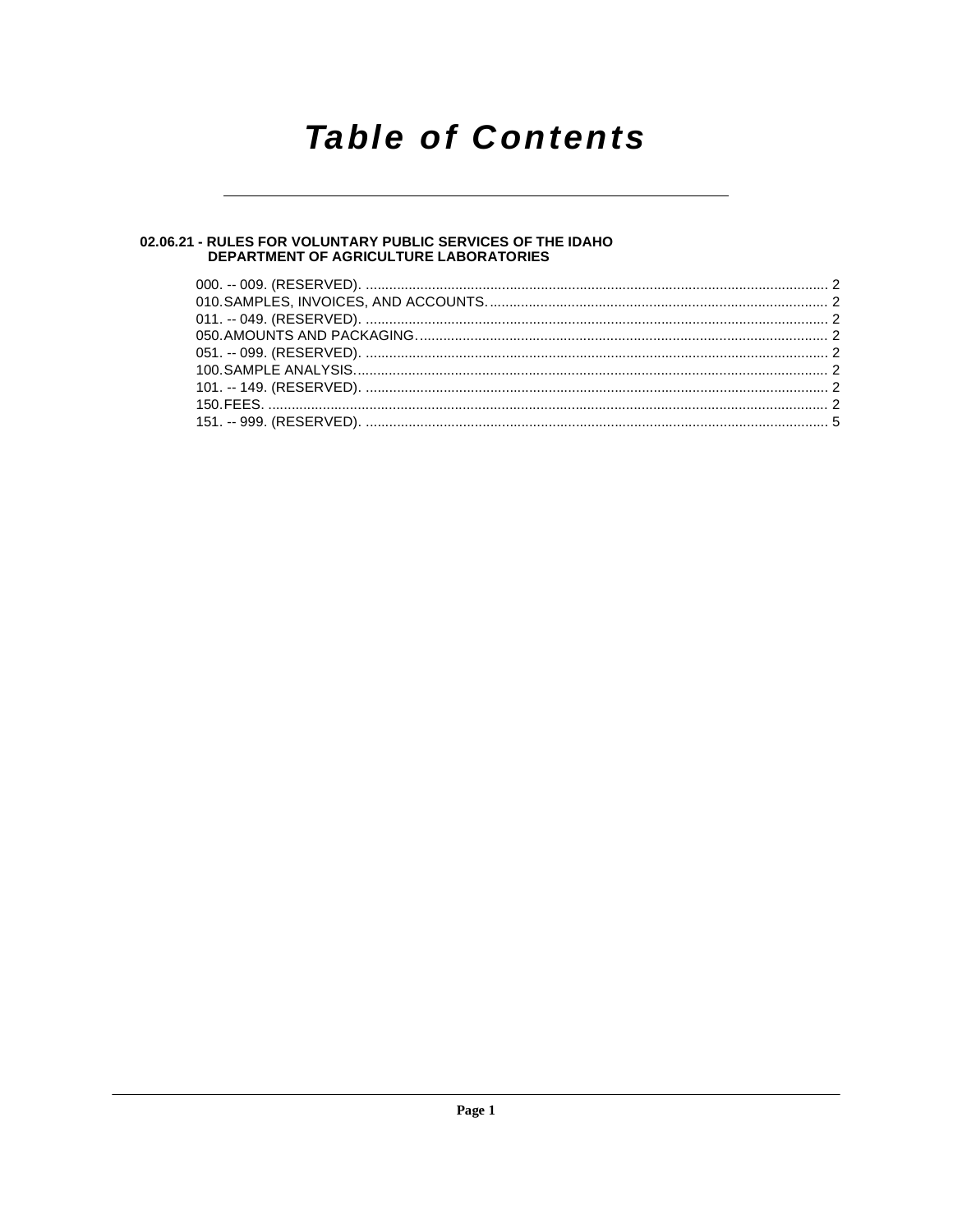# **Table of Contents**

# 02.06.21 - RULES FOR VOLUNTARY PUBLIC SERVICES OF THE IDAHO<br>DEPARTMENT OF AGRICULTURE LABORATORIES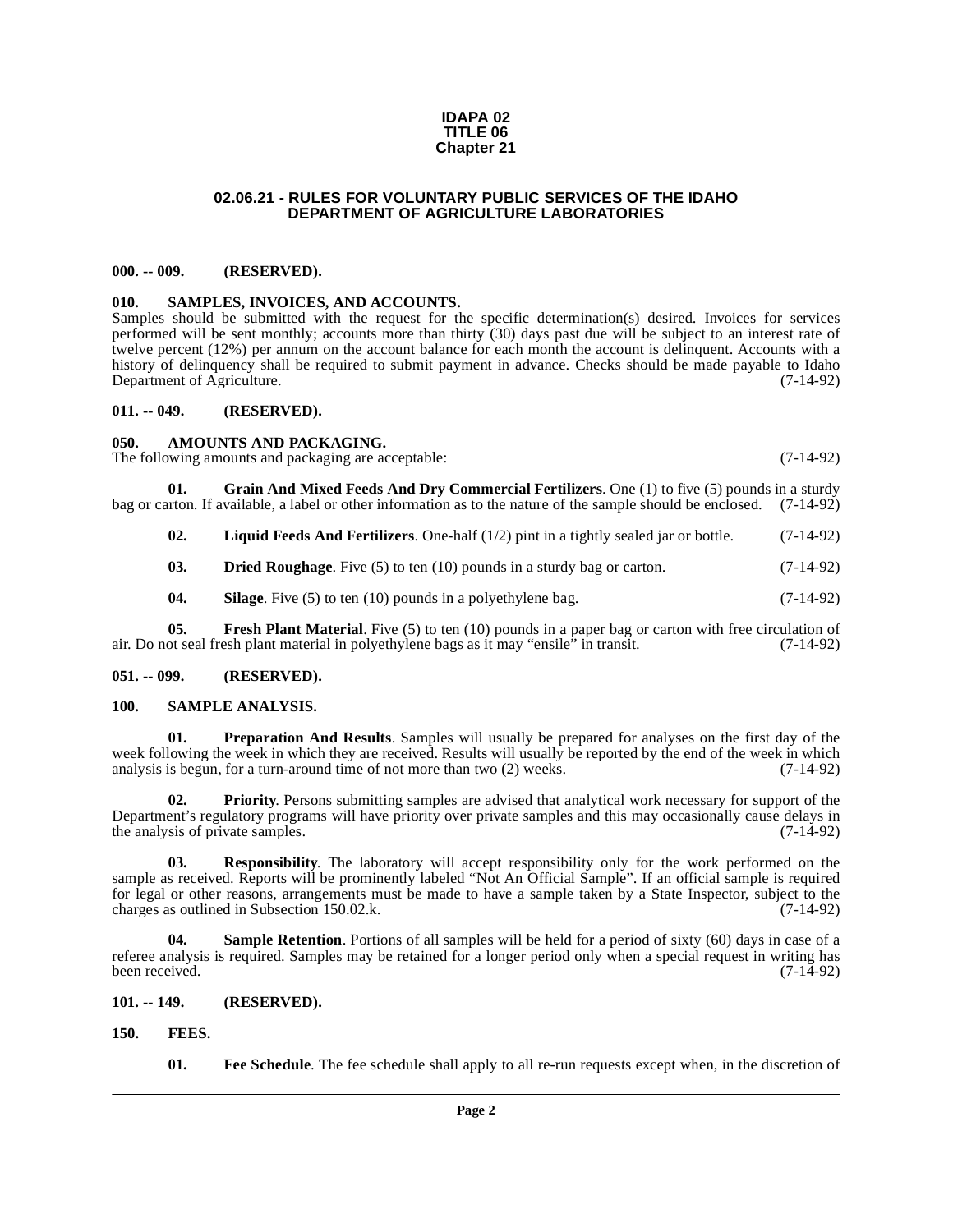#### **IDAPA 02 TITLE 06 Chapter 21**

### **02.06.21 - RULES FOR VOLUNTARY PUBLIC SERVICES OF THE IDAHO DEPARTMENT OF AGRICULTURE LABORATORIES**

#### <span id="page-1-1"></span><span id="page-1-0"></span>**000. -- 009. (RESERVED).**

#### <span id="page-1-18"></span><span id="page-1-2"></span>**010. SAMPLES, INVOICES, AND ACCOUNTS.**

Samples should be submitted with the request for the specific determination(s) desired. Invoices for services performed will be sent monthly; accounts more than thirty (30) days past due will be subject to an interest rate of twelve percent (12%) per annum on the account balance for each month the account is delinquent. Accounts with a history of delinquency shall be required to submit payment in advance. Checks should be made payable to Idaho Department of Agriculture. (7-14-92)

### <span id="page-1-3"></span>**011. -- 049. (RESERVED).**

<span id="page-1-9"></span><span id="page-1-4"></span>**050. AMOUNTS AND PACKAGING.** 

The following amounts and packaging are acceptable: (7-14-92)

**01.** Grain And Mixed Feeds And Dry Commercial Fertilizers. One (1) to five (5) pounds in a sturdy arton. If available, a label or other information as to the nature of the sample should be enclosed. (7-14-92) bag or carton. If available, a label or other information as to the nature of the sample should be enclosed.

<span id="page-1-14"></span><span id="page-1-13"></span>**02.** Liquid Feeds And Fertilizers. One-half (1/2) pint in a tightly sealed jar or bottle. (7-14-92)

<span id="page-1-10"></span>**03. Dried Roughage**. Five (5) to ten (10) pounds in a sturdy bag or carton.  $(7-14-92)$ 

<span id="page-1-19"></span><span id="page-1-12"></span>**04.** Silage. Five (5) to ten (10) pounds in a polyethylene bag.  $(7-14-92)$ 

**05.** Fresh Plant Material. Five (5) to ten (10) pounds in a paper bag or carton with free circulation of air. Do not seal fresh plant material in polyethylene bags as it may "ensile" in transit. (7-14-92)

### <span id="page-1-5"></span>**051. -- 099. (RESERVED).**

### <span id="page-1-16"></span><span id="page-1-15"></span><span id="page-1-6"></span>**100. SAMPLE ANALYSIS.**

**01. Preparation And Results**. Samples will usually be prepared for analyses on the first day of the week following the week in which they are received. Results will usually be reported by the end of the week in which analysis is begun, for a turn-around time of not more than two  $(2)$  weeks.  $(7-14-92)$ analysis is begun, for a turn-around time of not more than two  $(2)$  weeks.

**02. Priority**. Persons submitting samples are advised that analytical work necessary for support of the Department's regulatory programs will have priority over private samples and this may occasionally cause delays in the analysis of private samples. (7-14-92) the analysis of private samples.

**03. Responsibility**. The laboratory will accept responsibility only for the work performed on the sample as received. Reports will be prominently labeled "Not An Official Sample". If an official sample is required for legal or other reasons, arrangements must be made to have a sample taken by a State Inspector, subject to the charges as outlined in Subsection 150.02.k. (7-14-92)

<span id="page-1-17"></span>**04.** Sample Retention. Portions of all samples will be held for a period of sixty (60) days in case of a referee analysis is required. Samples may be retained for a longer period only when a special request in writing has been received. (7-14-92)

<span id="page-1-7"></span>**101. -- 149. (RESERVED).**

<span id="page-1-8"></span>**150. FEES.**

<span id="page-1-11"></span>**01.** Free Schedule. The fee schedule shall apply to all re-run requests except when, in the discretion of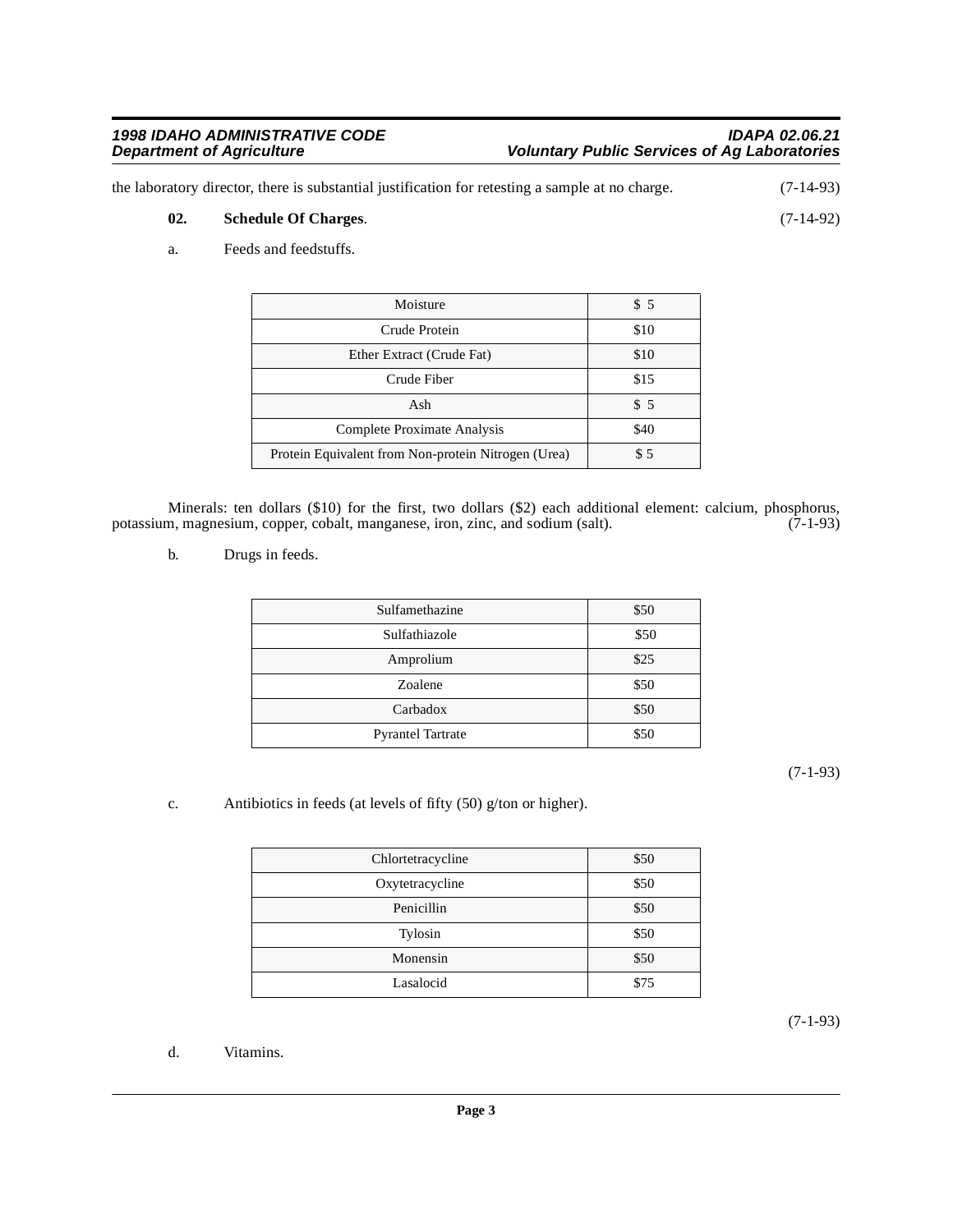the laboratory director, there is substantial justification for retesting a sample at no charge. (7-14-93) **02. Schedule Of Charges**. (7-14-92)

<span id="page-2-3"></span><span id="page-2-2"></span>a. Feeds and feedstuffs.

| Moisture                                            | \$5  |
|-----------------------------------------------------|------|
| Crude Protein                                       | \$10 |
| Ether Extract (Crude Fat)                           | \$10 |
| Crude Fiber                                         | \$15 |
| Ash                                                 | \$5  |
| Complete Proximate Analysis                         | \$40 |
| Protein Equivalent from Non-protein Nitrogen (Urea) | \$5  |

Minerals: ten dollars (\$10) for the first, two dollars (\$2) each additional element: calcium, phosphorus, m, magnesium, copper, cobalt, manganese, iron, zinc, and sodium (salt). (7-1-93) potassium, magnesium, copper, cobalt, manganese, iron, zinc, and sodium (salt).

<span id="page-2-1"></span>b. Drugs in feeds.

| Sulfamethazine           | \$50 |
|--------------------------|------|
| Sulfathiazole            | \$50 |
| Amprolium                | \$25 |
| Zoalene                  | \$50 |
| Carbadox                 | \$50 |
| <b>Pyrantel Tartrate</b> | \$50 |

(7-1-93)

<span id="page-2-0"></span>c. Antibiotics in feeds (at levels of fifty (50) g/ton or higher).

| Chlortetracycline | \$50 |
|-------------------|------|
| Oxytetracycline   | \$50 |
| Penicillin        | \$50 |
| Tylosin           | \$50 |
| Monensin          | \$50 |
| Lasalocid         | \$75 |

(7-1-93)

<span id="page-2-4"></span>d. Vitamins.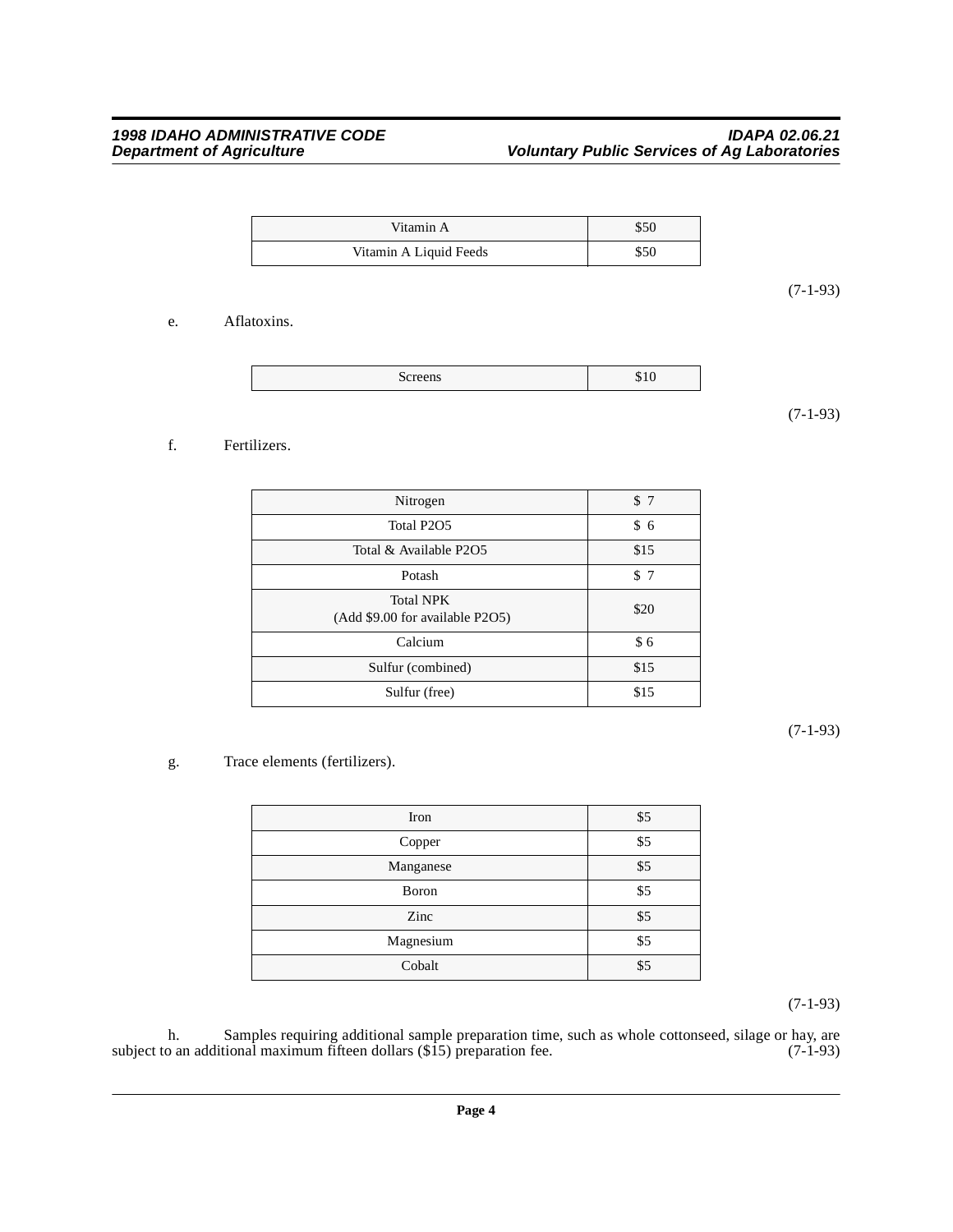| Vitamin A              | \$50 |
|------------------------|------|
| Vitamin A Liquid Feeds | \$50 |

(7-1-93)

### <span id="page-3-0"></span>e. Aflatoxins.

|--|

(7-1-93)

## <span id="page-3-1"></span>f. Fertilizers.

| Nitrogen                                            | \$7  |
|-----------------------------------------------------|------|
| Total P2O5                                          | \$6  |
| Total & Available P2O5                              | \$15 |
| Potash                                              | \$7  |
| <b>Total NPK</b><br>(Add \$9.00 for available P2O5) | \$20 |
| Calcium                                             | \$6  |
| Sulfur (combined)                                   | \$15 |
| Sulfur (free)                                       | \$15 |

(7-1-93)

## <span id="page-3-2"></span>g. Trace elements (fertilizers).

| Iron      | \$5 |
|-----------|-----|
| Copper    | \$5 |
| Manganese | \$5 |
| Boron     | \$5 |
| Zinc      | \$5 |
| Magnesium | \$5 |
| Cobalt    | \$5 |

(7-1-93)

h. Samples requiring additional sample preparation time, such as whole cottonseed, silage or hay, are subject to an additional maximum fifteen dollars (\$15) preparation fee. (7-1-93)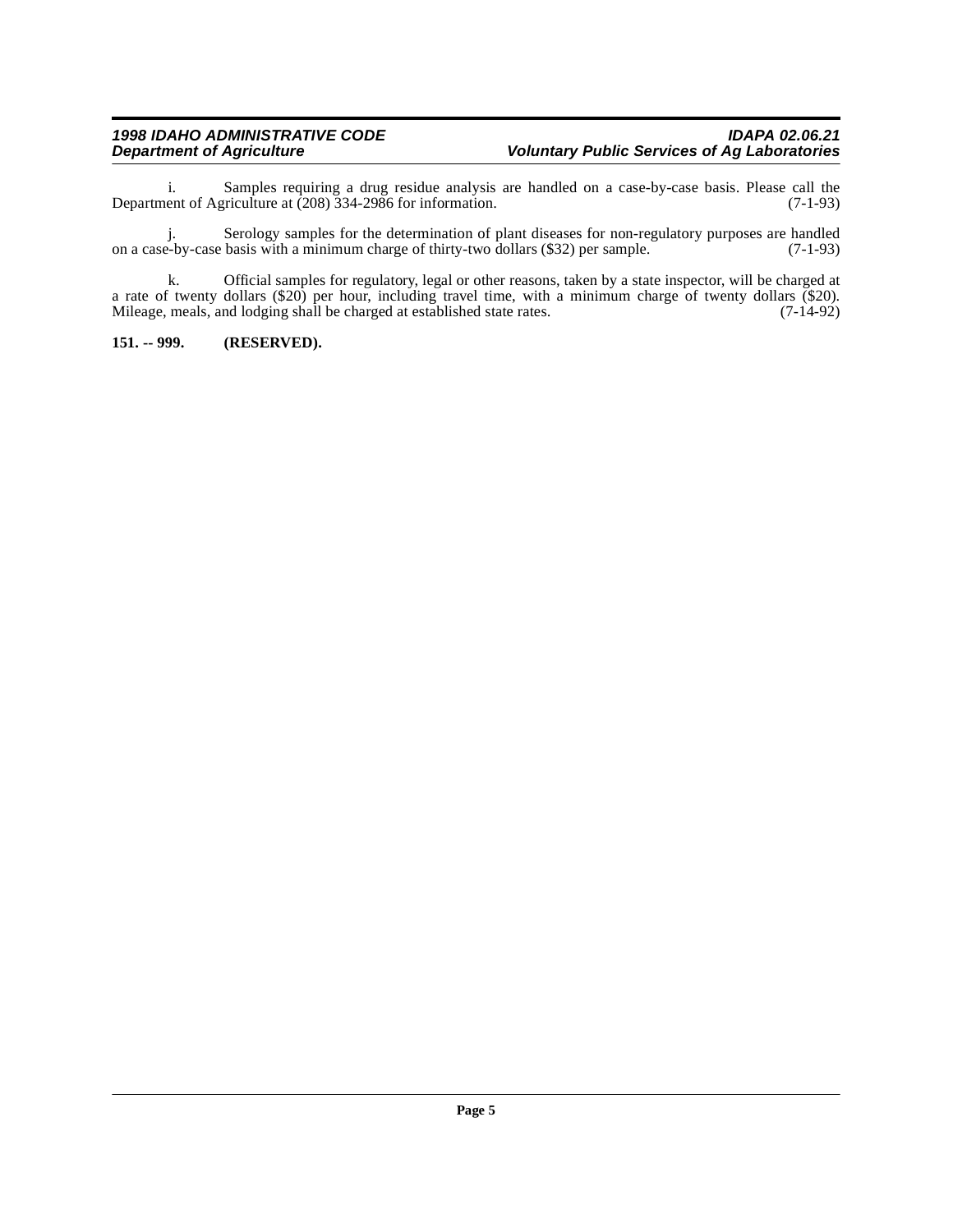i. Samples requiring a drug residue analysis are handled on a case-by-case basis. Please call the Department of Agriculture at (208) 334-2986 for information. (7-1-93)

j. Serology samples for the determination of plant diseases for non-regulatory purposes are handled e-by-case basis with a minimum charge of thirty-two dollars (\$32) per sample. (7-1-93) on a case-by-case basis with a minimum charge of thirty-two dollars (\$32) per sample.

k. Official samples for regulatory, legal or other reasons, taken by a state inspector, will be charged at a rate of twenty dollars (\$20) per hour, including travel time, with a minimum charge of twenty dollars (\$20). Mileage, meals, and lodging shall be charged at established state rates. (7-14-92)

## <span id="page-4-0"></span>**151. -- 999. (RESERVED).**